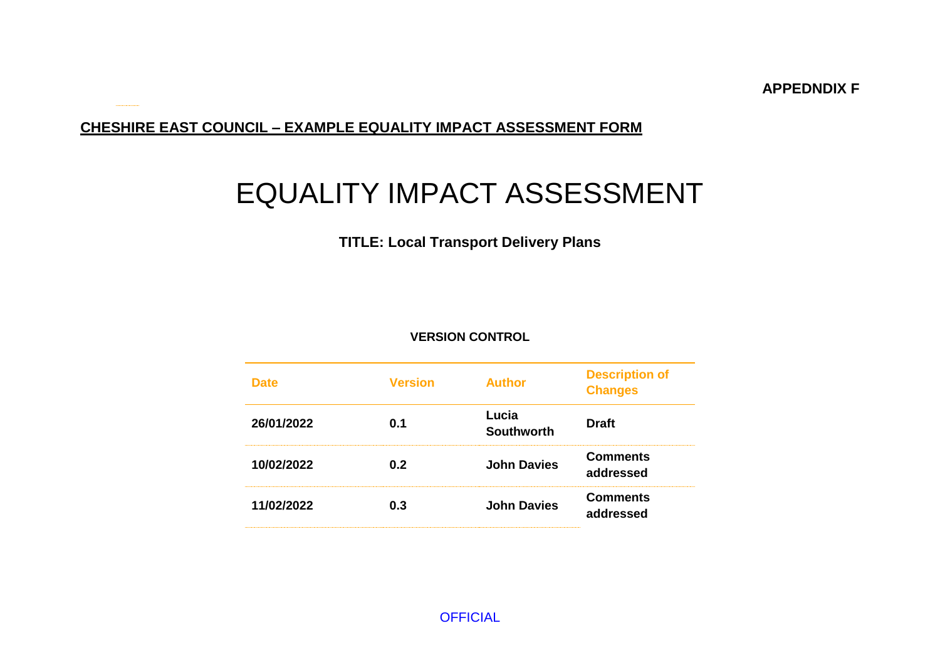**APPEDNDIX F**

### **CHESHIRE EAST COUNCIL – EXAMPLE EQUALITY IMPACT ASSESSMENT FORM**

# EQUALITY IMPACT ASSESSMENT

## **TITLE: Local Transport Delivery Plans**

#### **VERSION CONTROL**

| <b>Date</b> | <b>Version</b> | <b>Author</b>              | <b>Description of</b><br><b>Changes</b> |  |
|-------------|----------------|----------------------------|-----------------------------------------|--|
| 26/01/2022  | 0.1            | Lucia<br><b>Southworth</b> | <b>Draft</b>                            |  |
| 10/02/2022  | 0.2            | <b>John Davies</b>         | <b>Comments</b><br>addressed            |  |
| 11/02/2022  | 0.3            | <b>John Davies</b>         | <b>Comments</b><br>addressed            |  |

**OFFICIAL**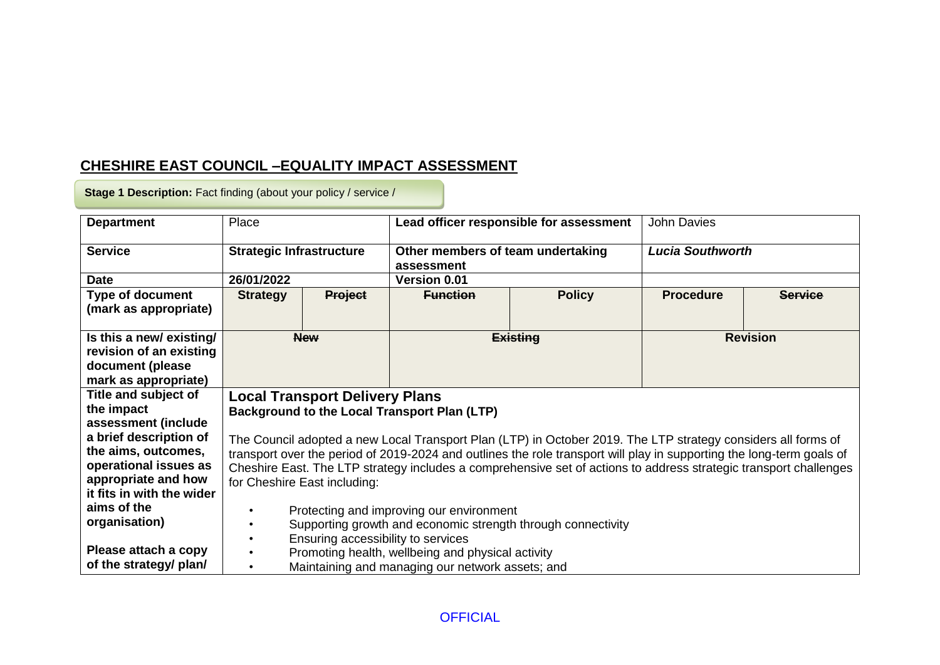## **CHESHIRE EAST COUNCIL –EQUALITY IMPACT ASSESSMENT**

**Stage 1 Description:** Fact finding (about your policy / service /

| <b>Department</b>         | Place                                                                                                                 |                                       | Lead officer responsible for assessment                      |                 | <b>John Davies</b>      |                |
|---------------------------|-----------------------------------------------------------------------------------------------------------------------|---------------------------------------|--------------------------------------------------------------|-----------------|-------------------------|----------------|
| <b>Service</b>            | <b>Strategic Infrastructure</b>                                                                                       |                                       | Other members of team undertaking<br>assessment              |                 | <b>Lucia Southworth</b> |                |
| <b>Date</b>               | 26/01/2022                                                                                                            |                                       | <b>Version 0.01</b>                                          |                 |                         |                |
| <b>Type of document</b>   | <b>Strategy</b>                                                                                                       | <b>Project</b>                        | <b>Function</b>                                              | <b>Policy</b>   | <b>Procedure</b>        | <b>Service</b> |
| (mark as appropriate)     |                                                                                                                       |                                       |                                                              |                 |                         |                |
|                           |                                                                                                                       |                                       |                                                              |                 |                         |                |
| Is this a new/existing/   |                                                                                                                       | <b>New</b>                            |                                                              | <b>Existing</b> | <b>Revision</b>         |                |
| revision of an existing   |                                                                                                                       |                                       |                                                              |                 |                         |                |
| document (please          |                                                                                                                       |                                       |                                                              |                 |                         |                |
| mark as appropriate)      |                                                                                                                       |                                       |                                                              |                 |                         |                |
| Title and subject of      |                                                                                                                       | <b>Local Transport Delivery Plans</b> |                                                              |                 |                         |                |
| the impact                |                                                                                                                       |                                       | Background to the Local Transport Plan (LTP)                 |                 |                         |                |
| assessment (include       |                                                                                                                       |                                       |                                                              |                 |                         |                |
| a brief description of    | The Council adopted a new Local Transport Plan (LTP) in October 2019. The LTP strategy considers all forms of         |                                       |                                                              |                 |                         |                |
| the aims, outcomes,       | transport over the period of 2019-2024 and outlines the role transport will play in supporting the long-term goals of |                                       |                                                              |                 |                         |                |
| operational issues as     | Cheshire East. The LTP strategy includes a comprehensive set of actions to address strategic transport challenges     |                                       |                                                              |                 |                         |                |
| appropriate and how       | for Cheshire East including:                                                                                          |                                       |                                                              |                 |                         |                |
| it fits in with the wider |                                                                                                                       |                                       |                                                              |                 |                         |                |
| aims of the               |                                                                                                                       |                                       | Protecting and improving our environment                     |                 |                         |                |
| organisation)             |                                                                                                                       |                                       | Supporting growth and economic strength through connectivity |                 |                         |                |
|                           |                                                                                                                       | Ensuring accessibility to services    |                                                              |                 |                         |                |
| Please attach a copy      | Promoting health, wellbeing and physical activity                                                                     |                                       |                                                              |                 |                         |                |
| of the strategy/ plan/    |                                                                                                                       |                                       | Maintaining and managing our network assets; and             |                 |                         |                |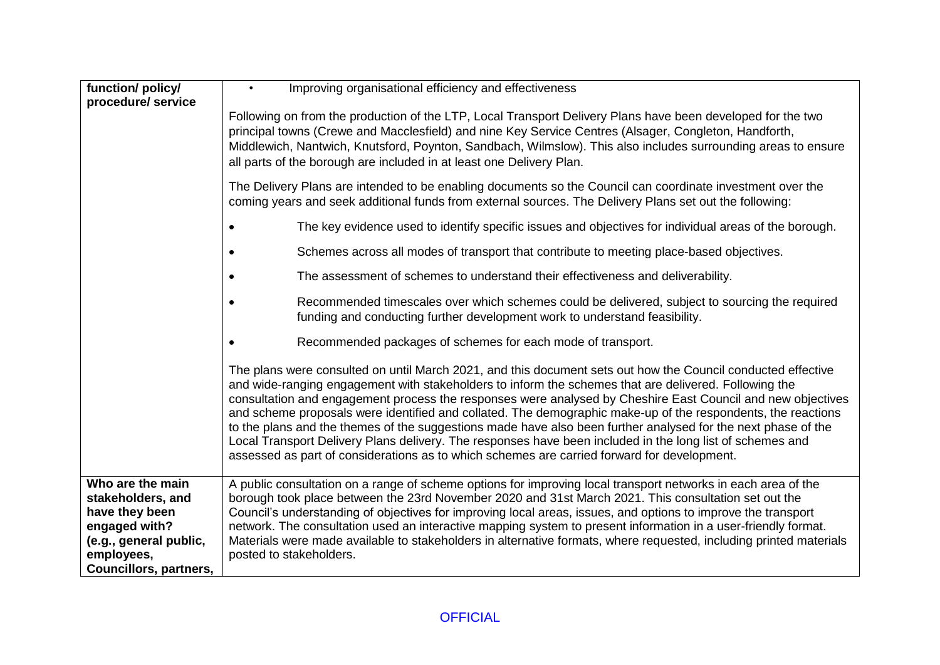| function/ policy/                                                                                                                          | Improving organisational efficiency and effectiveness<br>$\bullet$                                                                                                                                                                                                                                                                                                                                                                                                                                                                                                                                                                                                                                                                                                                |  |  |  |  |  |  |
|--------------------------------------------------------------------------------------------------------------------------------------------|-----------------------------------------------------------------------------------------------------------------------------------------------------------------------------------------------------------------------------------------------------------------------------------------------------------------------------------------------------------------------------------------------------------------------------------------------------------------------------------------------------------------------------------------------------------------------------------------------------------------------------------------------------------------------------------------------------------------------------------------------------------------------------------|--|--|--|--|--|--|
| procedure/ service                                                                                                                         | Following on from the production of the LTP, Local Transport Delivery Plans have been developed for the two<br>principal towns (Crewe and Macclesfield) and nine Key Service Centres (Alsager, Congleton, Handforth,<br>Middlewich, Nantwich, Knutsford, Poynton, Sandbach, Wilmslow). This also includes surrounding areas to ensure<br>all parts of the borough are included in at least one Delivery Plan.                                                                                                                                                                                                                                                                                                                                                                     |  |  |  |  |  |  |
|                                                                                                                                            | The Delivery Plans are intended to be enabling documents so the Council can coordinate investment over the<br>coming years and seek additional funds from external sources. The Delivery Plans set out the following:                                                                                                                                                                                                                                                                                                                                                                                                                                                                                                                                                             |  |  |  |  |  |  |
|                                                                                                                                            | The key evidence used to identify specific issues and objectives for individual areas of the borough.                                                                                                                                                                                                                                                                                                                                                                                                                                                                                                                                                                                                                                                                             |  |  |  |  |  |  |
|                                                                                                                                            | Schemes across all modes of transport that contribute to meeting place-based objectives.                                                                                                                                                                                                                                                                                                                                                                                                                                                                                                                                                                                                                                                                                          |  |  |  |  |  |  |
|                                                                                                                                            | The assessment of schemes to understand their effectiveness and deliverability.                                                                                                                                                                                                                                                                                                                                                                                                                                                                                                                                                                                                                                                                                                   |  |  |  |  |  |  |
|                                                                                                                                            | Recommended timescales over which schemes could be delivered, subject to sourcing the required<br>funding and conducting further development work to understand feasibility.                                                                                                                                                                                                                                                                                                                                                                                                                                                                                                                                                                                                      |  |  |  |  |  |  |
|                                                                                                                                            | Recommended packages of schemes for each mode of transport.                                                                                                                                                                                                                                                                                                                                                                                                                                                                                                                                                                                                                                                                                                                       |  |  |  |  |  |  |
|                                                                                                                                            | The plans were consulted on until March 2021, and this document sets out how the Council conducted effective<br>and wide-ranging engagement with stakeholders to inform the schemes that are delivered. Following the<br>consultation and engagement process the responses were analysed by Cheshire East Council and new objectives<br>and scheme proposals were identified and collated. The demographic make-up of the respondents, the reactions<br>to the plans and the themes of the suggestions made have also been further analysed for the next phase of the<br>Local Transport Delivery Plans delivery. The responses have been included in the long list of schemes and<br>assessed as part of considerations as to which schemes are carried forward for development. |  |  |  |  |  |  |
| Who are the main<br>stakeholders, and<br>have they been<br>engaged with?<br>(e.g., general public,<br>employees,<br>Councillors, partners, | A public consultation on a range of scheme options for improving local transport networks in each area of the<br>borough took place between the 23rd November 2020 and 31st March 2021. This consultation set out the<br>Council's understanding of objectives for improving local areas, issues, and options to improve the transport<br>network. The consultation used an interactive mapping system to present information in a user-friendly format.<br>Materials were made available to stakeholders in alternative formats, where requested, including printed materials<br>posted to stakeholders.                                                                                                                                                                         |  |  |  |  |  |  |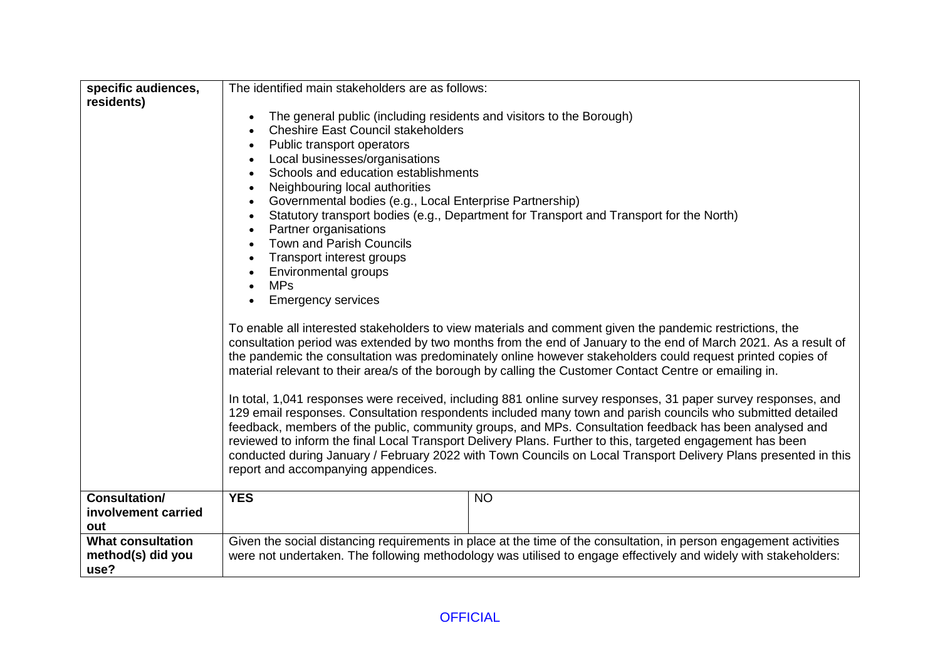| specific audiences,                                   | The identified main stakeholders are as follows:                                                                                                                                                                                                                                                                                                                                                                                                                                                                                                                                                                                                                                                                                                                                                                                                                                                                                                                                                                                                                                                                                                                                                                                                                                                                                                                                                                                                                                                                                                                                                                                                      |                                                                                                                                                                                                                                       |  |  |  |  |  |
|-------------------------------------------------------|-------------------------------------------------------------------------------------------------------------------------------------------------------------------------------------------------------------------------------------------------------------------------------------------------------------------------------------------------------------------------------------------------------------------------------------------------------------------------------------------------------------------------------------------------------------------------------------------------------------------------------------------------------------------------------------------------------------------------------------------------------------------------------------------------------------------------------------------------------------------------------------------------------------------------------------------------------------------------------------------------------------------------------------------------------------------------------------------------------------------------------------------------------------------------------------------------------------------------------------------------------------------------------------------------------------------------------------------------------------------------------------------------------------------------------------------------------------------------------------------------------------------------------------------------------------------------------------------------------------------------------------------------------|---------------------------------------------------------------------------------------------------------------------------------------------------------------------------------------------------------------------------------------|--|--|--|--|--|
| residents)                                            | The general public (including residents and visitors to the Borough)<br><b>Cheshire East Council stakeholders</b><br>Public transport operators<br>Local businesses/organisations<br>Schools and education establishments<br>Neighbouring local authorities<br>$\bullet$<br>Governmental bodies (e.g., Local Enterprise Partnership)<br>Statutory transport bodies (e.g., Department for Transport and Transport for the North)<br>Partner organisations<br>$\bullet$<br><b>Town and Parish Councils</b><br>Transport interest groups<br><b>Environmental groups</b><br><b>MPs</b><br><b>Emergency services</b><br>To enable all interested stakeholders to view materials and comment given the pandemic restrictions, the<br>consultation period was extended by two months from the end of January to the end of March 2021. As a result of<br>the pandemic the consultation was predominately online however stakeholders could request printed copies of<br>material relevant to their area/s of the borough by calling the Customer Contact Centre or emailing in.<br>In total, 1,041 responses were received, including 881 online survey responses, 31 paper survey responses, and<br>129 email responses. Consultation respondents included many town and parish councils who submitted detailed<br>feedback, members of the public, community groups, and MPs. Consultation feedback has been analysed and<br>reviewed to inform the final Local Transport Delivery Plans. Further to this, targeted engagement has been<br>conducted during January / February 2022 with Town Councils on Local Transport Delivery Plans presented in this |                                                                                                                                                                                                                                       |  |  |  |  |  |
|                                                       | report and accompanying appendices.                                                                                                                                                                                                                                                                                                                                                                                                                                                                                                                                                                                                                                                                                                                                                                                                                                                                                                                                                                                                                                                                                                                                                                                                                                                                                                                                                                                                                                                                                                                                                                                                                   |                                                                                                                                                                                                                                       |  |  |  |  |  |
| <b>Consultation/</b><br>involvement carried<br>out    | <b>YES</b>                                                                                                                                                                                                                                                                                                                                                                                                                                                                                                                                                                                                                                                                                                                                                                                                                                                                                                                                                                                                                                                                                                                                                                                                                                                                                                                                                                                                                                                                                                                                                                                                                                            | <b>NO</b>                                                                                                                                                                                                                             |  |  |  |  |  |
| <b>What consultation</b><br>method(s) did you<br>use? |                                                                                                                                                                                                                                                                                                                                                                                                                                                                                                                                                                                                                                                                                                                                                                                                                                                                                                                                                                                                                                                                                                                                                                                                                                                                                                                                                                                                                                                                                                                                                                                                                                                       | Given the social distancing requirements in place at the time of the consultation, in person engagement activities<br>were not undertaken. The following methodology was utilised to engage effectively and widely with stakeholders: |  |  |  |  |  |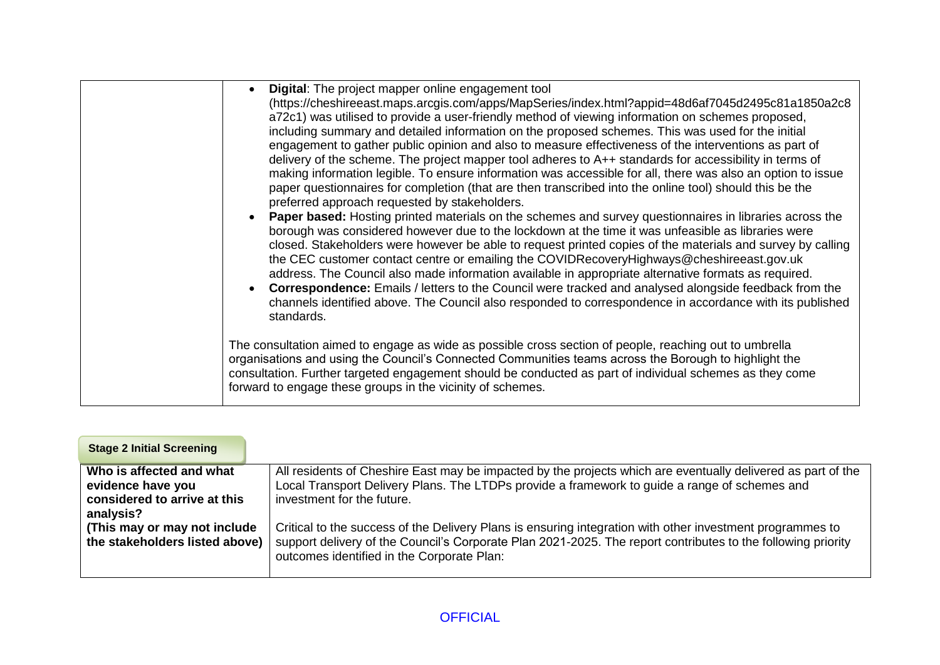| Digital: The project mapper online engagement tool<br>(https://cheshireeast.maps.arcgis.com/apps/MapSeries/index.html?appid=48d6af7045d2495c81a1850a2c8<br>a72c1) was utilised to provide a user-friendly method of viewing information on schemes proposed,<br>including summary and detailed information on the proposed schemes. This was used for the initial<br>engagement to gather public opinion and also to measure effectiveness of the interventions as part of<br>delivery of the scheme. The project mapper tool adheres to A++ standards for accessibility in terms of<br>making information legible. To ensure information was accessible for all, there was also an option to issue<br>paper questionnaires for completion (that are then transcribed into the online tool) should this be the<br>preferred approach requested by stakeholders.<br>Paper based: Hosting printed materials on the schemes and survey questionnaires in libraries across the<br>$\bullet$<br>borough was considered however due to the lockdown at the time it was unfeasible as libraries were<br>closed. Stakeholders were however be able to request printed copies of the materials and survey by calling<br>the CEC customer contact centre or emailing the COVIDRecoveryHighways@cheshireeast.gov.uk |
|----------------------------------------------------------------------------------------------------------------------------------------------------------------------------------------------------------------------------------------------------------------------------------------------------------------------------------------------------------------------------------------------------------------------------------------------------------------------------------------------------------------------------------------------------------------------------------------------------------------------------------------------------------------------------------------------------------------------------------------------------------------------------------------------------------------------------------------------------------------------------------------------------------------------------------------------------------------------------------------------------------------------------------------------------------------------------------------------------------------------------------------------------------------------------------------------------------------------------------------------------------------------------------------------------------|
| address. The Council also made information available in appropriate alternative formats as required.<br><b>Correspondence:</b> Emails / letters to the Council were tracked and analysed alongside feedback from the<br>channels identified above. The Council also responded to correspondence in accordance with its published<br>standards.                                                                                                                                                                                                                                                                                                                                                                                                                                                                                                                                                                                                                                                                                                                                                                                                                                                                                                                                                           |
| The consultation aimed to engage as wide as possible cross section of people, reaching out to umbrella<br>organisations and using the Council's Connected Communities teams across the Borough to highlight the<br>consultation. Further targeted engagement should be conducted as part of individual schemes as they come<br>forward to engage these groups in the vicinity of schemes.                                                                                                                                                                                                                                                                                                                                                                                                                                                                                                                                                                                                                                                                                                                                                                                                                                                                                                                |

| All residents of Cheshire East may be impacted by the projects which are eventually delivered as part of the<br>Local Transport Delivery Plans. The LTDPs provide a framework to guide a range of schemes and<br>investment for the future.                             |
|-------------------------------------------------------------------------------------------------------------------------------------------------------------------------------------------------------------------------------------------------------------------------|
| Critical to the success of the Delivery Plans is ensuring integration with other investment programmes to<br>support delivery of the Council's Corporate Plan 2021-2025. The report contributes to the following priority<br>outcomes identified in the Corporate Plan: |
|                                                                                                                                                                                                                                                                         |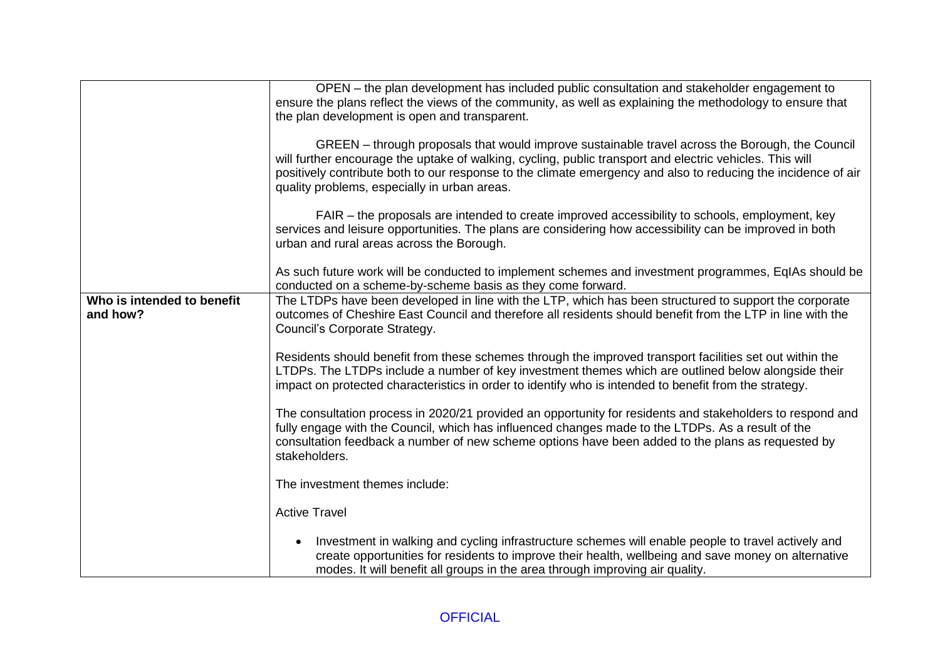|                                        | OPEN – the plan development has included public consultation and stakeholder engagement to<br>ensure the plans reflect the views of the community, as well as explaining the methodology to ensure that<br>the plan development is open and transparent.                                                                                                                     |
|----------------------------------------|------------------------------------------------------------------------------------------------------------------------------------------------------------------------------------------------------------------------------------------------------------------------------------------------------------------------------------------------------------------------------|
|                                        | GREEN - through proposals that would improve sustainable travel across the Borough, the Council<br>will further encourage the uptake of walking, cycling, public transport and electric vehicles. This will<br>positively contribute both to our response to the climate emergency and also to reducing the incidence of air<br>quality problems, especially in urban areas. |
|                                        | FAIR – the proposals are intended to create improved accessibility to schools, employment, key<br>services and leisure opportunities. The plans are considering how accessibility can be improved in both<br>urban and rural areas across the Borough.                                                                                                                       |
|                                        | As such future work will be conducted to implement schemes and investment programmes, EqIAs should be<br>conducted on a scheme-by-scheme basis as they come forward.                                                                                                                                                                                                         |
| Who is intended to benefit<br>and how? | The LTDPs have been developed in line with the LTP, which has been structured to support the corporate<br>outcomes of Cheshire East Council and therefore all residents should benefit from the LTP in line with the<br>Council's Corporate Strategy.                                                                                                                        |
|                                        | Residents should benefit from these schemes through the improved transport facilities set out within the<br>LTDPs. The LTDPs include a number of key investment themes which are outlined below alongside their<br>impact on protected characteristics in order to identify who is intended to benefit from the strategy.                                                    |
|                                        | The consultation process in 2020/21 provided an opportunity for residents and stakeholders to respond and<br>fully engage with the Council, which has influenced changes made to the LTDPs. As a result of the<br>consultation feedback a number of new scheme options have been added to the plans as requested by<br>stakeholders.                                         |
|                                        | The investment themes include:                                                                                                                                                                                                                                                                                                                                               |
|                                        | <b>Active Travel</b>                                                                                                                                                                                                                                                                                                                                                         |
|                                        | Investment in walking and cycling infrastructure schemes will enable people to travel actively and<br>$\bullet$<br>create opportunities for residents to improve their health, wellbeing and save money on alternative<br>modes. It will benefit all groups in the area through improving air quality.                                                                       |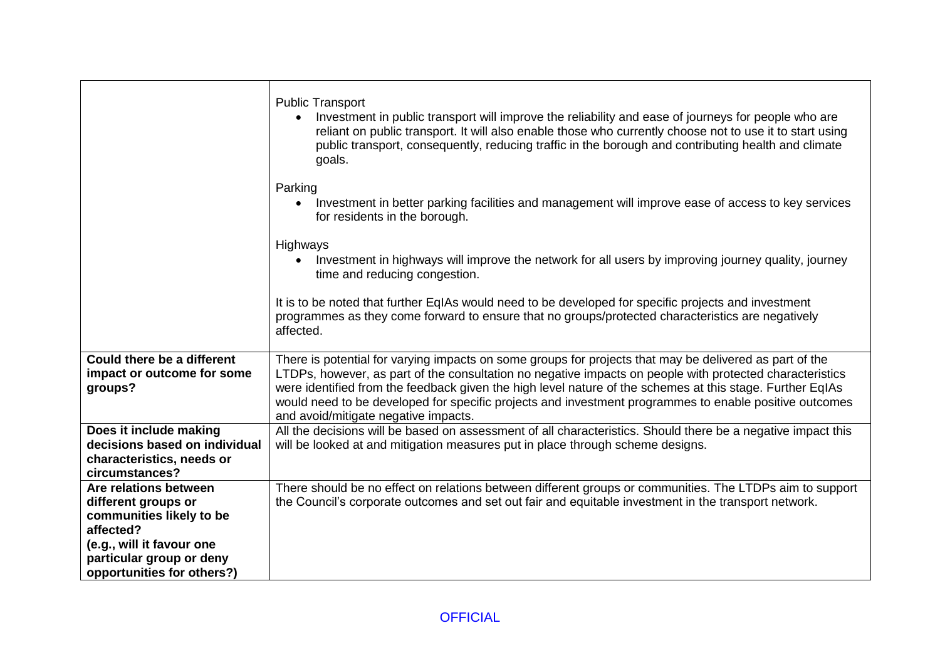|                                                                                                        | <b>Public Transport</b><br>Investment in public transport will improve the reliability and ease of journeys for people who are<br>reliant on public transport. It will also enable those who currently choose not to use it to start using<br>public transport, consequently, reducing traffic in the borough and contributing health and climate<br>goals.                                                                                                                        |
|--------------------------------------------------------------------------------------------------------|------------------------------------------------------------------------------------------------------------------------------------------------------------------------------------------------------------------------------------------------------------------------------------------------------------------------------------------------------------------------------------------------------------------------------------------------------------------------------------|
|                                                                                                        | Parking<br>Investment in better parking facilities and management will improve ease of access to key services<br>$\bullet$<br>for residents in the borough.                                                                                                                                                                                                                                                                                                                        |
|                                                                                                        | Highways<br>Investment in highways will improve the network for all users by improving journey quality, journey<br>time and reducing congestion.                                                                                                                                                                                                                                                                                                                                   |
|                                                                                                        | It is to be noted that further EqIAs would need to be developed for specific projects and investment<br>programmes as they come forward to ensure that no groups/protected characteristics are negatively<br>affected.                                                                                                                                                                                                                                                             |
| <b>Could there be a different</b><br>impact or outcome for some<br>groups?                             | There is potential for varying impacts on some groups for projects that may be delivered as part of the<br>LTDPs, however, as part of the consultation no negative impacts on people with protected characteristics<br>were identified from the feedback given the high level nature of the schemes at this stage. Further EqIAs<br>would need to be developed for specific projects and investment programmes to enable positive outcomes<br>and avoid/mitigate negative impacts. |
| Does it include making<br>decisions based on individual<br>characteristics, needs or<br>circumstances? | All the decisions will be based on assessment of all characteristics. Should there be a negative impact this<br>will be looked at and mitigation measures put in place through scheme designs.                                                                                                                                                                                                                                                                                     |
| Are relations between<br>different groups or<br>communities likely to be<br>affected?                  | There should be no effect on relations between different groups or communities. The LTDPs aim to support<br>the Council's corporate outcomes and set out fair and equitable investment in the transport network.                                                                                                                                                                                                                                                                   |
| (e.g., will it favour one<br>particular group or deny<br>opportunities for others?)                    |                                                                                                                                                                                                                                                                                                                                                                                                                                                                                    |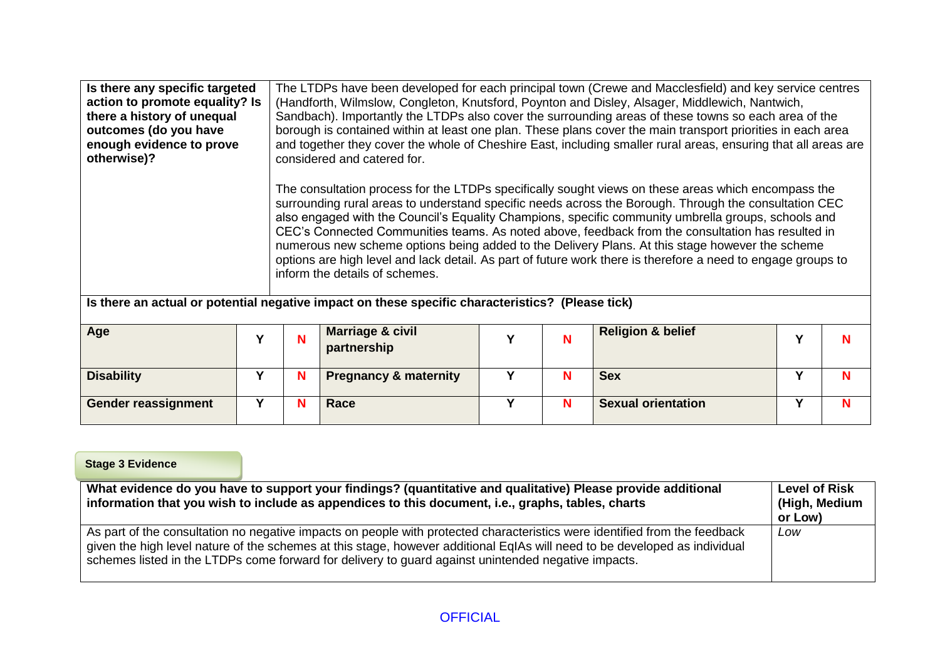| Is there any specific targeted<br>action to promote equality? Is<br>there a history of unequal<br>outcomes (do you have<br>enough evidence to prove<br>otherwise)? |                                                                                                  | The LTDPs have been developed for each principal town (Crewe and Macclesfield) and key service centres<br>(Handforth, Wilmslow, Congleton, Knutsford, Poynton and Disley, Alsager, Middlewich, Nantwich,<br>Sandbach). Importantly the LTDPs also cover the surrounding areas of these towns so each area of the<br>borough is contained within at least one plan. These plans cover the main transport priorities in each area<br>and together they cover the whole of Cheshire East, including smaller rural areas, ensuring that all areas are<br>considered and catered for.                                                                                              |                                            |   |   |                              |   |   |
|--------------------------------------------------------------------------------------------------------------------------------------------------------------------|--------------------------------------------------------------------------------------------------|-------------------------------------------------------------------------------------------------------------------------------------------------------------------------------------------------------------------------------------------------------------------------------------------------------------------------------------------------------------------------------------------------------------------------------------------------------------------------------------------------------------------------------------------------------------------------------------------------------------------------------------------------------------------------------|--------------------------------------------|---|---|------------------------------|---|---|
|                                                                                                                                                                    |                                                                                                  | The consultation process for the LTDPs specifically sought views on these areas which encompass the<br>surrounding rural areas to understand specific needs across the Borough. Through the consultation CEC<br>also engaged with the Council's Equality Champions, specific community umbrella groups, schools and<br>CEC's Connected Communities teams. As noted above, feedback from the consultation has resulted in<br>numerous new scheme options being added to the Delivery Plans. At this stage however the scheme<br>options are high level and lack detail. As part of future work there is therefore a need to engage groups to<br>inform the details of schemes. |                                            |   |   |                              |   |   |
|                                                                                                                                                                    | Is there an actual or potential negative impact on these specific characteristics? (Please tick) |                                                                                                                                                                                                                                                                                                                                                                                                                                                                                                                                                                                                                                                                               |                                            |   |   |                              |   |   |
| Age                                                                                                                                                                | Y                                                                                                | N                                                                                                                                                                                                                                                                                                                                                                                                                                                                                                                                                                                                                                                                             | <b>Marriage &amp; civil</b><br>partnership | Υ | N | <b>Religion &amp; belief</b> | Υ | N |
| <b>Disability</b>                                                                                                                                                  | Υ                                                                                                | N                                                                                                                                                                                                                                                                                                                                                                                                                                                                                                                                                                                                                                                                             | <b>Pregnancy &amp; maternity</b>           | Y | N | <b>Sex</b>                   | Y | N |
| <b>Gender reassignment</b>                                                                                                                                         | Y                                                                                                | N                                                                                                                                                                                                                                                                                                                                                                                                                                                                                                                                                                                                                                                                             | Race                                       | Y | N | <b>Sexual orientation</b>    | Y | N |

**Stage 3 Evidence**

| What evidence do you have to support your findings? (quantitative and qualitative) Please provide additional<br>information that you wish to include as appendices to this document, i.e., graphs, tables, charts                                                                                                                                               | <b>Level of Risk</b><br>(High, Medium<br>or Low) |
|-----------------------------------------------------------------------------------------------------------------------------------------------------------------------------------------------------------------------------------------------------------------------------------------------------------------------------------------------------------------|--------------------------------------------------|
| As part of the consultation no negative impacts on people with protected characteristics were identified from the feedback<br>given the high level nature of the schemes at this stage, however additional EqIAs will need to be developed as individual<br>schemes listed in the LTDPs come forward for delivery to guard against unintended negative impacts. | Low                                              |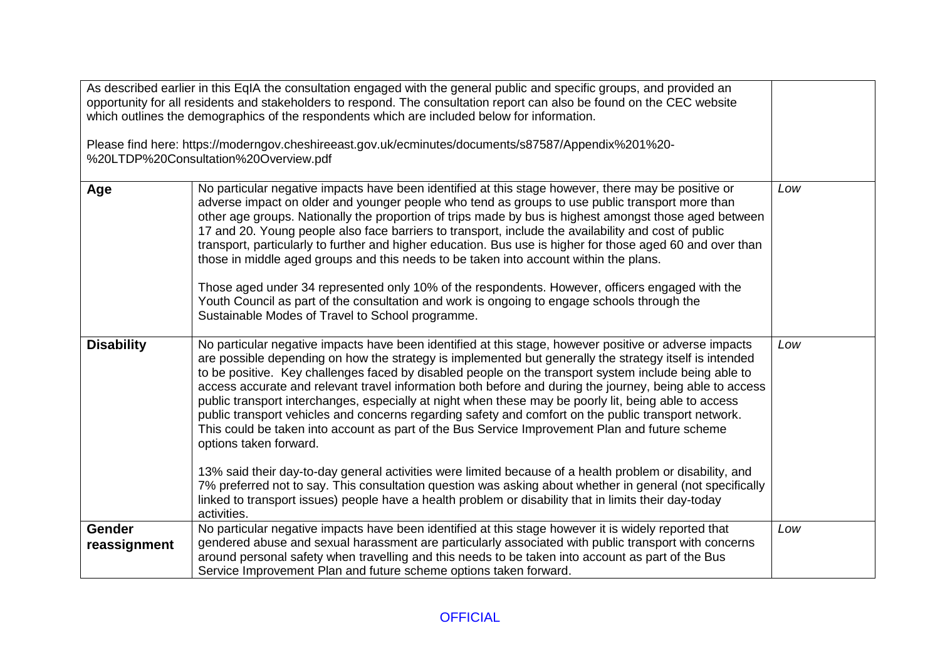| As described earlier in this EqIA the consultation engaged with the general public and specific groups, and provided an<br>opportunity for all residents and stakeholders to respond. The consultation report can also be found on the CEC website<br>which outlines the demographics of the respondents which are included below for information.<br>Please find here: https://moderngov.cheshireeast.gov.uk/ecminutes/documents/s87587/Appendix%201%20-<br>%20LTDP%20Consultation%20Overview.pdf |                                                                                                                                                                                                                                                                                                                                                                                                                                                                                                                                                                                                                                                                                                                                                                                                                                                                                                                                                                                                                                                                                                                                      |     |  |  |
|----------------------------------------------------------------------------------------------------------------------------------------------------------------------------------------------------------------------------------------------------------------------------------------------------------------------------------------------------------------------------------------------------------------------------------------------------------------------------------------------------|--------------------------------------------------------------------------------------------------------------------------------------------------------------------------------------------------------------------------------------------------------------------------------------------------------------------------------------------------------------------------------------------------------------------------------------------------------------------------------------------------------------------------------------------------------------------------------------------------------------------------------------------------------------------------------------------------------------------------------------------------------------------------------------------------------------------------------------------------------------------------------------------------------------------------------------------------------------------------------------------------------------------------------------------------------------------------------------------------------------------------------------|-----|--|--|
| Age                                                                                                                                                                                                                                                                                                                                                                                                                                                                                                | No particular negative impacts have been identified at this stage however, there may be positive or<br>adverse impact on older and younger people who tend as groups to use public transport more than<br>other age groups. Nationally the proportion of trips made by bus is highest amongst those aged between<br>17 and 20. Young people also face barriers to transport, include the availability and cost of public<br>transport, particularly to further and higher education. Bus use is higher for those aged 60 and over than<br>those in middle aged groups and this needs to be taken into account within the plans.<br>Those aged under 34 represented only 10% of the respondents. However, officers engaged with the<br>Youth Council as part of the consultation and work is ongoing to engage schools through the<br>Sustainable Modes of Travel to School programme.                                                                                                                                                                                                                                                | Low |  |  |
| <b>Disability</b>                                                                                                                                                                                                                                                                                                                                                                                                                                                                                  | No particular negative impacts have been identified at this stage, however positive or adverse impacts<br>are possible depending on how the strategy is implemented but generally the strategy itself is intended<br>to be positive. Key challenges faced by disabled people on the transport system include being able to<br>access accurate and relevant travel information both before and during the journey, being able to access<br>public transport interchanges, especially at night when these may be poorly lit, being able to access<br>public transport vehicles and concerns regarding safety and comfort on the public transport network.<br>This could be taken into account as part of the Bus Service Improvement Plan and future scheme<br>options taken forward.<br>13% said their day-to-day general activities were limited because of a health problem or disability, and<br>7% preferred not to say. This consultation question was asking about whether in general (not specifically<br>linked to transport issues) people have a health problem or disability that in limits their day-today<br>activities. | Low |  |  |
| <b>Gender</b><br>reassignment                                                                                                                                                                                                                                                                                                                                                                                                                                                                      | No particular negative impacts have been identified at this stage however it is widely reported that<br>gendered abuse and sexual harassment are particularly associated with public transport with concerns<br>around personal safety when travelling and this needs to be taken into account as part of the Bus<br>Service Improvement Plan and future scheme options taken forward.                                                                                                                                                                                                                                                                                                                                                                                                                                                                                                                                                                                                                                                                                                                                               | Low |  |  |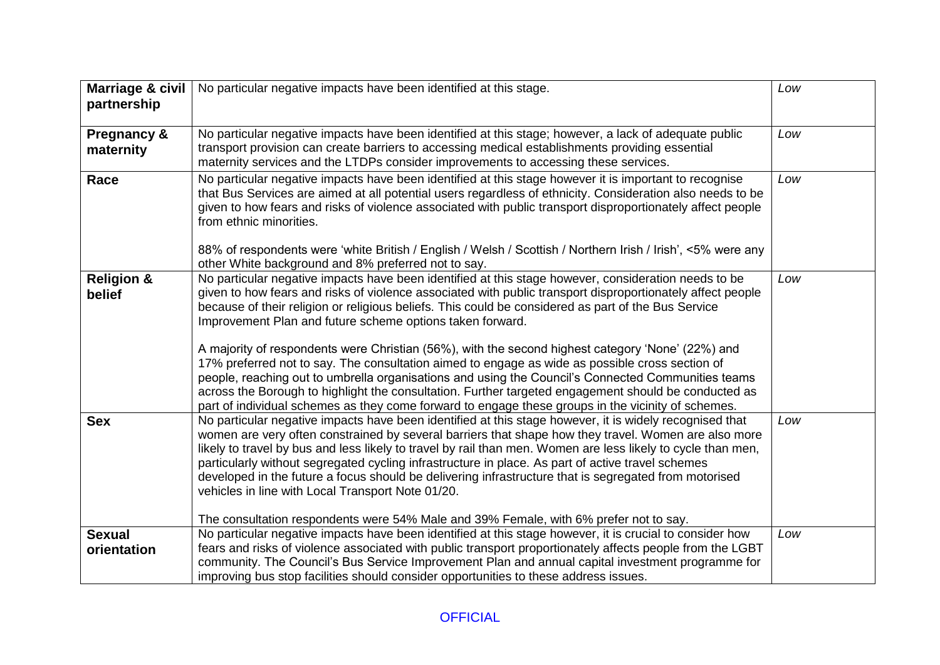| <b>Marriage &amp; civil</b>     | No particular negative impacts have been identified at this stage.                                                                                                                                                                                                                                                                                                                                                                                                                                                                                                                                 | Low |
|---------------------------------|----------------------------------------------------------------------------------------------------------------------------------------------------------------------------------------------------------------------------------------------------------------------------------------------------------------------------------------------------------------------------------------------------------------------------------------------------------------------------------------------------------------------------------------------------------------------------------------------------|-----|
| partnership                     |                                                                                                                                                                                                                                                                                                                                                                                                                                                                                                                                                                                                    |     |
| Pregnancy &<br>maternity        | No particular negative impacts have been identified at this stage; however, a lack of adequate public<br>transport provision can create barriers to accessing medical establishments providing essential<br>maternity services and the LTDPs consider improvements to accessing these services.                                                                                                                                                                                                                                                                                                    | Low |
| Race                            | No particular negative impacts have been identified at this stage however it is important to recognise<br>that Bus Services are aimed at all potential users regardless of ethnicity. Consideration also needs to be<br>given to how fears and risks of violence associated with public transport disproportionately affect people<br>from ethnic minorities.<br>88% of respondents were 'white British / English / Welsh / Scottish / Northern Irish / Irish', <5% were any<br>other White background and 8% preferred not to say.                                                                | Low |
| <b>Religion &amp;</b><br>belief | No particular negative impacts have been identified at this stage however, consideration needs to be<br>given to how fears and risks of violence associated with public transport disproportionately affect people<br>because of their religion or religious beliefs. This could be considered as part of the Bus Service<br>Improvement Plan and future scheme options taken forward.<br>A majority of respondents were Christian (56%), with the second highest category 'None' (22%) and                                                                                                        | Low |
|                                 | 17% preferred not to say. The consultation aimed to engage as wide as possible cross section of<br>people, reaching out to umbrella organisations and using the Council's Connected Communities teams<br>across the Borough to highlight the consultation. Further targeted engagement should be conducted as<br>part of individual schemes as they come forward to engage these groups in the vicinity of schemes.                                                                                                                                                                                |     |
| <b>Sex</b>                      | No particular negative impacts have been identified at this stage however, it is widely recognised that<br>women are very often constrained by several barriers that shape how they travel. Women are also more<br>likely to travel by bus and less likely to travel by rail than men. Women are less likely to cycle than men,<br>particularly without segregated cycling infrastructure in place. As part of active travel schemes<br>developed in the future a focus should be delivering infrastructure that is segregated from motorised<br>vehicles in line with Local Transport Note 01/20. | Low |
|                                 | The consultation respondents were 54% Male and 39% Female, with 6% prefer not to say.                                                                                                                                                                                                                                                                                                                                                                                                                                                                                                              |     |
| <b>Sexual</b><br>orientation    | No particular negative impacts have been identified at this stage however, it is crucial to consider how<br>fears and risks of violence associated with public transport proportionately affects people from the LGBT<br>community. The Council's Bus Service Improvement Plan and annual capital investment programme for<br>improving bus stop facilities should consider opportunities to these address issues.                                                                                                                                                                                 | Low |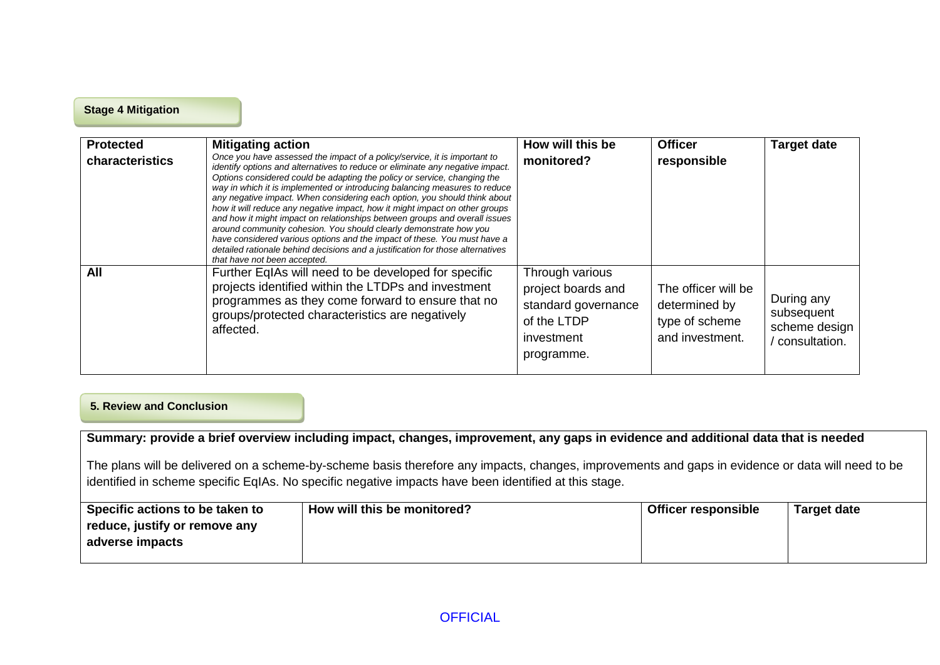#### **Stage 4 Mitigation**

| <b>Protected</b><br>characteristics | <b>Mitigating action</b><br>Once you have assessed the impact of a policy/service, it is important to<br>identify options and alternatives to reduce or eliminate any negative impact.<br>Options considered could be adapting the policy or service, changing the<br>way in which it is implemented or introducing balancing measures to reduce<br>any negative impact. When considering each option, you should think about<br>how it will reduce any negative impact, how it might impact on other groups<br>and how it might impact on relationships between groups and overall issues<br>around community cohesion. You should clearly demonstrate how you<br>have considered various options and the impact of these. You must have a<br>detailed rationale behind decisions and a justification for those alternatives<br>that have not been accepted. | How will this be<br>monitored?                                                                          | <b>Officer</b><br>responsible                                             | <b>Target date</b>                                         |
|-------------------------------------|---------------------------------------------------------------------------------------------------------------------------------------------------------------------------------------------------------------------------------------------------------------------------------------------------------------------------------------------------------------------------------------------------------------------------------------------------------------------------------------------------------------------------------------------------------------------------------------------------------------------------------------------------------------------------------------------------------------------------------------------------------------------------------------------------------------------------------------------------------------|---------------------------------------------------------------------------------------------------------|---------------------------------------------------------------------------|------------------------------------------------------------|
| All                                 | Further EqIAs will need to be developed for specific<br>projects identified within the LTDPs and investment<br>programmes as they come forward to ensure that no<br>groups/protected characteristics are negatively<br>affected.                                                                                                                                                                                                                                                                                                                                                                                                                                                                                                                                                                                                                              | Through various<br>project boards and<br>standard governance<br>of the LTDP<br>investment<br>programme. | The officer will be<br>determined by<br>type of scheme<br>and investment. | During any<br>subsequent<br>scheme design<br>consultation. |

#### **5. Review and Conclusion**

**Summary: provide a brief overview including impact, changes, improvement, any gaps in evidence and additional data that is needed**

The plans will be delivered on a scheme-by-scheme basis therefore any impacts, changes, improvements and gaps in evidence or data will need to be identified in scheme specific EqIAs. No specific negative impacts have been identified at this stage.

| Specific actions to be taken to | How will this be monitored? | <b>Officer responsible</b> | Target date |
|---------------------------------|-----------------------------|----------------------------|-------------|
| reduce, justify or remove any   |                             |                            |             |
| adverse impacts                 |                             |                            |             |
|                                 |                             |                            |             |